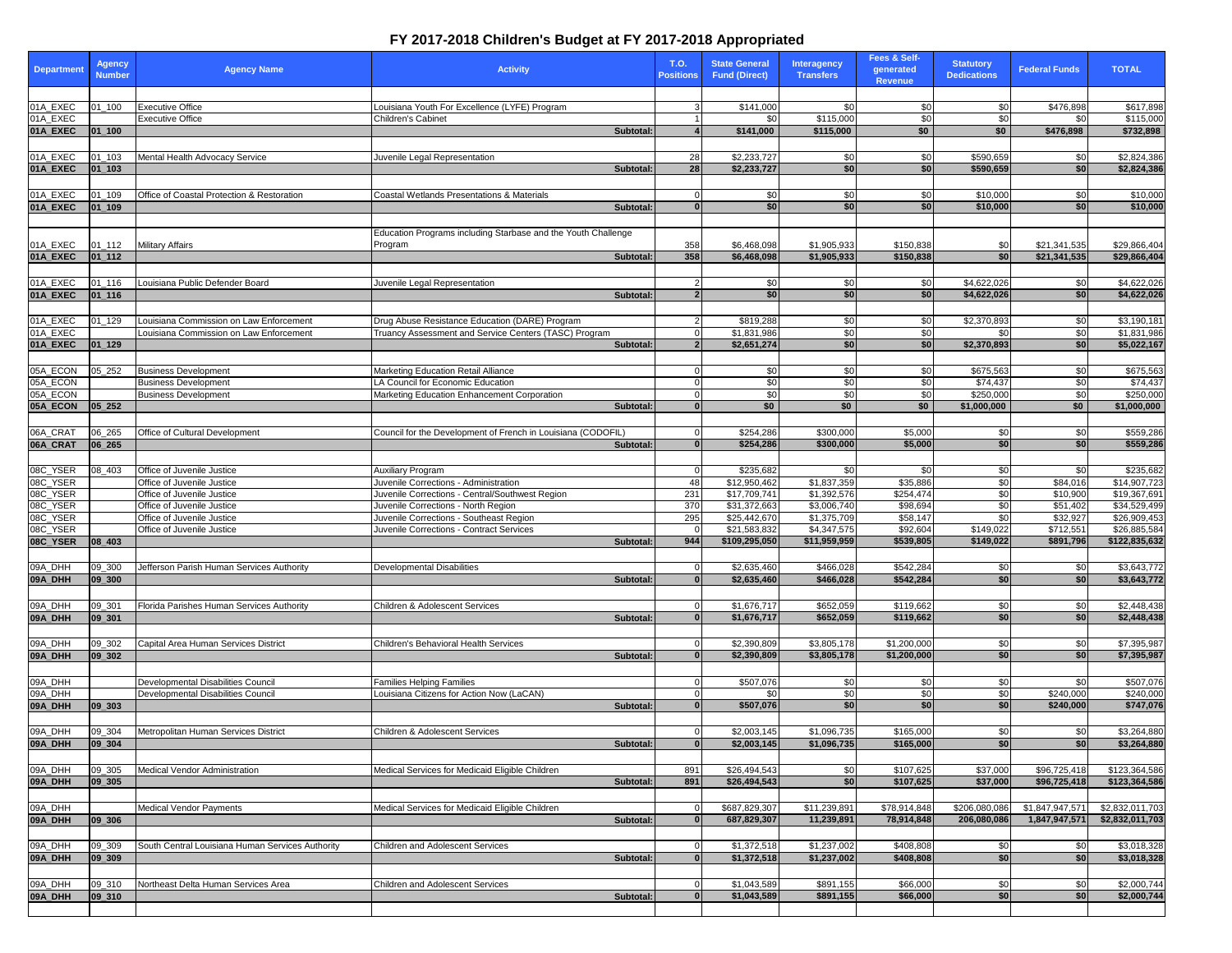| <b>Department</b>    | <b>Agency</b><br><b>Number</b> | <b>Agency Name</b>                                                              | <b>Activity</b>                                                                          | T.O.<br><b>Positions</b> | <b>State General</b><br><b>Fund (Direct)</b> | <b>Interagency</b><br><b>Transfers</b> | Fees & Self-<br>qenerated<br>Revenue | <b>Statutory</b><br><b>Dedications</b> | <b>Federal Funds</b> | <b>TOTAL</b>                 |
|----------------------|--------------------------------|---------------------------------------------------------------------------------|------------------------------------------------------------------------------------------|--------------------------|----------------------------------------------|----------------------------------------|--------------------------------------|----------------------------------------|----------------------|------------------------------|
|                      |                                | <b>Executive Office</b>                                                         |                                                                                          |                          | \$141,000                                    | \$0                                    |                                      | \$0                                    | \$476,898            |                              |
| 01A_EXEC<br>01A_EXEC | $01 - 100$                     | <b>Executive Office</b>                                                         | Louisiana Youth For Excellence (LYFE) Program<br>Children's Cabinet                      |                          | \$0                                          | \$115,000                              | \$0<br>\$0                           | \$0                                    | \$0                  | \$617,898<br>\$115,000       |
| 01A_EXEC             | $ 01$ 100                      |                                                                                 | <b>Subtotal:</b>                                                                         |                          | \$141,000                                    | \$115,000                              | \$0                                  | \$0                                    | \$476,898            | \$732,898                    |
|                      |                                |                                                                                 |                                                                                          |                          |                                              |                                        |                                      |                                        |                      |                              |
| 01A_EXEC<br>01A_EXEC | 01_103<br>$ 01$ 103            | Mental Health Advocacy Service                                                  | Juvenile Legal Representation                                                            | 28<br>28                 | \$2,233,727<br>\$2,233,727                   | \$0<br>\$0                             | \$0<br>\$0                           | \$590,659<br>\$590,659                 | \$0<br>\$0           | \$2,824,386<br>\$2,824,386   |
|                      |                                |                                                                                 | Subtotal:                                                                                |                          |                                              |                                        |                                      |                                        |                      |                              |
| 01A_EXEC             | 01_109                         | Office of Coastal Protection & Restoration                                      | <b>Coastal Wetlands Presentations &amp; Materials</b>                                    |                          | 30                                           | \$0                                    | 30                                   | \$10,000                               | \$0                  | \$10,000                     |
| 01A_EXEC             | $ 01$ 109                      |                                                                                 | Subtotal:                                                                                |                          | \$0                                          | \$0                                    | \$0                                  | \$10,000                               | \$0 <sub>1</sub>     | \$10,000                     |
|                      |                                |                                                                                 |                                                                                          |                          |                                              |                                        |                                      |                                        |                      |                              |
| 01A_EXEC             | $01 - 112$                     | <b>Military Affairs</b>                                                         | Education Programs including Starbase and the Youth Challenge<br>Program                 | 358                      | \$6,468,098                                  | \$1,905,933                            | \$150,838                            | \$0                                    | \$21,341,535         | \$29,866,404                 |
| 01A_EXEC             | $ 01_112 $                     |                                                                                 | Subtotal:                                                                                | 358                      | \$6,468,098                                  | \$1,905,933                            | \$150,838                            | \$0                                    | \$21,341,535         | \$29,866,404                 |
|                      |                                |                                                                                 |                                                                                          |                          |                                              |                                        |                                      |                                        |                      |                              |
| 01A_EXEC             | 01_116                         | Louisiana Public Defender Board                                                 | Juvenile Legal Representation                                                            |                          | \$0                                          | \$0                                    | \$0                                  | \$4,622,026                            | \$0                  | \$4,622,026                  |
| 01A_EXEC             | $ 01_116 $                     |                                                                                 | <b>Subtotal:</b>                                                                         |                          | \$0                                          | \$0                                    | \$0                                  | \$4,622,026                            | \$0                  | \$4,622,026                  |
| 01A_EXEC             | 01_129                         | Louisiana Commission on Law Enforcement                                         | Drug Abuse Resistance Education (DARE) Program                                           |                          | \$819,288                                    | \$0                                    | \$0                                  | \$2,370,893                            | \$0                  | \$3,190,181                  |
| 01A_EXEC             |                                | Louisiana Commission on Law Enforcement                                         | Truancy Assessment and Service Centers (TASC) Program                                    |                          | \$1,831,986                                  | \$0                                    | \$0                                  | \$0                                    | \$0                  | \$1,831,986                  |
| 01A_EXEC             | $ 01_129$                      |                                                                                 | Subtotal:                                                                                |                          | \$2,651,274                                  | \$0                                    | \$0                                  | \$2,370,893                            | \$0                  | \$5,022,167                  |
| 05A_ECON             | 05_252                         | <b>Business Development</b>                                                     | <b>Marketing Education Retail Alliance</b>                                               |                          | \$0                                          | \$0                                    | \$0                                  | \$675,563                              | \$0                  | \$675,563                    |
| 05A_ECON             |                                | <b>Business Development</b>                                                     | LA Council for Economic Education                                                        |                          | \$0                                          | \$0                                    | \$0                                  | \$74,437                               | \$0                  | \$74,437                     |
| 05A_ECON             |                                | <b>Business Development</b>                                                     | Marketing Education Enhancement Corporation                                              |                          | \$0                                          | \$0                                    | \$0                                  | \$250,000                              | \$0                  | \$250,000                    |
| 05A_ECON             | $ 05 \t252$                    |                                                                                 | Subtotal:                                                                                |                          | \$0                                          | \$0                                    | \$0                                  | \$1,000,000                            | \$0                  | \$1,000,000                  |
|                      | 06_265                         | Office of Cultural Development                                                  | Council for the Development of French in Louisiana (CODOFIL)                             |                          | \$254,286                                    | \$300,000                              |                                      |                                        |                      | \$559,286                    |
| 06A_CRAT<br>06A_CRAT | $ 06_265$                      |                                                                                 | Subtotal:                                                                                |                          | \$254,286                                    | \$300,000                              | \$5,000<br>\$5,000                   | \$0<br>\$0                             | \$0<br>\$0           | \$559,286                    |
|                      |                                |                                                                                 |                                                                                          |                          |                                              |                                        |                                      |                                        |                      |                              |
| 08C_YSER             | 08_403                         | Office of Juvenile Justice                                                      | <b>Auxiliary Program</b>                                                                 |                          | \$235,682                                    | <b>SO</b>                              | -\$0                                 | \$0                                    | \$0                  | \$235,682                    |
| 08C_YSER<br>08C_YSER |                                | Office of Juvenile Justice<br>Office of Juvenile Justice                        | Juvenile Corrections - Administration<br>Juvenile Corrections - Central/Southwest Region | -48<br>231               | \$12,950,462<br>\$17,709,741                 | \$1,837,359<br>\$1,392,576             | \$35,886<br>\$254,474                | \$0<br>$\overline{30}$                 | \$84,016<br>\$10,900 | \$14,907,723<br>\$19,367,691 |
| 08C_YSER             |                                | Office of Juvenile Justice                                                      | Juvenile Corrections - North Region                                                      | 370                      | \$31,372,663                                 | \$3,006,740                            | \$98,694                             | $\sqrt{6}$                             | \$51,402             | \$34,529,499                 |
| 08C_YSER             |                                | Office of Juvenile Justice                                                      | Juvenile Corrections - Southeast Region                                                  | 295                      | \$25,442,670                                 | \$1,375,709                            | \$58,147                             | \$0                                    | \$32,927             | \$26,909,453                 |
| 08C_YSER             |                                | Office of Juvenile Justice                                                      | Juvenile Corrections - Contract Services                                                 | 944                      | \$21,583,832                                 | \$4,347,575                            | \$92,604                             | \$149,022                              | \$712,551            | \$26,885,584                 |
| 08C_YSER             | $ 08_403$                      |                                                                                 | Subtotal:                                                                                |                          | \$109,295,050                                | \$11,959,959                           | \$539,805                            | \$149,022                              | \$891,796            | \$122,835,632                |
| 09A_DHH              | 09_300                         | Jefferson Parish Human Services Authority                                       | <b>Developmental Disabilities</b>                                                        |                          | \$2,635,460                                  | \$466,028                              | \$542,284                            | \$0                                    | \$0                  | \$3,643,772                  |
| 09A_DHH              | 09 300                         |                                                                                 | <b>Subtotal:</b>                                                                         |                          | \$2,635,460                                  | \$466,028                              | \$542,284                            | \$0                                    | \$0                  | \$3,643,772                  |
|                      |                                |                                                                                 |                                                                                          |                          |                                              |                                        |                                      |                                        |                      |                              |
| 09A_DHH<br>09A_DHH   | 09_301<br>$ 09$ _301           | Florida Parishes Human Services Authority                                       | Children & Adolescent Services<br>Subtotal:                                              |                          | \$1,676,717<br>\$1,676,717                   | \$652,059<br>\$652,059                 | \$119,662<br>\$119,662               | \$0<br>\$0                             | \$0<br>\$0           | \$2,448,438<br>\$2,448,438   |
|                      |                                |                                                                                 |                                                                                          |                          |                                              |                                        |                                      |                                        |                      |                              |
| 09A_DHH              | 09_302                         | Capital Area Human Services District                                            | Children's Behavioral Health Services                                                    |                          | \$2,390,809                                  | \$3,805,178                            | \$1,200,000                          | \$0                                    | \$0                  | \$7,395,987                  |
| 09A_DHH              | 09 302                         |                                                                                 | Subtotal:                                                                                |                          | \$2,390,809                                  | \$3,805,178                            | \$1,200,000                          | \$0                                    | \$0                  | \$7,395,987                  |
|                      |                                |                                                                                 |                                                                                          |                          |                                              |                                        |                                      |                                        |                      |                              |
| 09A_DHH<br>09A_DHH   |                                | Developmental Disabilities Council<br><b>Developmental Disabilities Council</b> | <b>Families Helping Families</b><br>Louisiana Citizens for Action Now (LaCAN)            |                          | \$507,076<br>\$0                             | \$0<br>\$0                             | \$0<br>\$0                           | \$0<br>$\frac{1}{2}$                   | \$0<br>\$240,000     | \$507,076<br>\$240,000       |
| 09A_DHH              | 09 303                         |                                                                                 | Subtotal:                                                                                |                          | \$507,076                                    | \$0                                    | \$0                                  | \$0                                    | \$240,000            | \$747,076                    |
|                      |                                |                                                                                 |                                                                                          |                          |                                              |                                        |                                      |                                        |                      |                              |
| 09A_DHH              | 09_304                         | Metropolitan Human Services District                                            | <b>Children &amp; Adolescent Services</b>                                                |                          | $\overline{$2,003,145}$                      | \$1,096,735                            | \$165,000                            | \$0                                    | \$0                  | \$3,264,880                  |
| 09A_DHH              | $ 09$ _304                     |                                                                                 | Subtotal                                                                                 |                          | \$2,003,145                                  | \$1,096,735                            | \$165,000                            | \$0                                    | \$0                  | \$3,264,880                  |
| 09A_DHH              | 09_305                         | Medical Vendor Administration                                                   | Medical Services for Medicaid Eligible Children                                          | 891                      | \$26,494,543                                 | \$0                                    | \$107,625                            | \$37,000                               | \$96,725,418         | \$123,364,586                |
| 09A_DHH              | 09 305                         |                                                                                 | Subtotal:                                                                                | 891                      | \$26,494,543                                 | \$0                                    | \$107,625                            | \$37,000                               | \$96,725,418         | \$123,364,586                |
|                      |                                |                                                                                 |                                                                                          |                          |                                              |                                        |                                      |                                        |                      |                              |
| 09A_DHH              |                                | <b>Medical Vendor Payments</b>                                                  | Medical Services for Medicaid Eligible Children                                          |                          | \$687,829,307                                | \$11,239,891                           | \$78,914,848                         | \$206,080,086                          | \$1,847,947,57       | \$2,832,011,703              |
| 09A_DHH              | 09 306                         |                                                                                 | <b>Subtotal:</b>                                                                         |                          | 687,829,307                                  | 11,239,891                             | 78,914,848                           | 206,080,086                            | 1,847,947,571        | \$2,832,011,703              |
| 09A_DHH              | 09_309                         | South Central Louisiana Human Services Authority                                | <b>Children and Adolescent Services</b>                                                  |                          | \$1,372,518                                  | \$1,237,002                            | \$408,808                            | \$0                                    | \$0                  | \$3,018,328                  |
| 09A_DHH              | 09 309                         |                                                                                 | <b>Subtotal:</b>                                                                         |                          | \$1,372,518                                  | \$1,237,002                            | \$408,808                            | \$0                                    | sol                  | \$3,018,328                  |
|                      |                                |                                                                                 |                                                                                          |                          |                                              |                                        |                                      |                                        |                      |                              |
| 09A_DHH<br>09A_DHH   | 09_310<br>$ 09 - 310$          | Northeast Delta Human Services Area                                             | <b>Children and Adolescent Services</b><br><b>Subtotal:</b>                              |                          | \$1,043,589<br>\$1,043,589                   | \$891,155<br>\$891,155                 | \$66,000<br>\$66,000                 | \$0<br>\$0                             | \$0<br>\$0           | \$2,000,744<br>\$2,000,744   |
|                      |                                |                                                                                 |                                                                                          |                          |                                              |                                        |                                      |                                        |                      |                              |
|                      |                                |                                                                                 |                                                                                          |                          |                                              |                                        |                                      |                                        |                      |                              |

## **FY 2017-2018 Children's Budget at FY 2017-2018 Appropriated**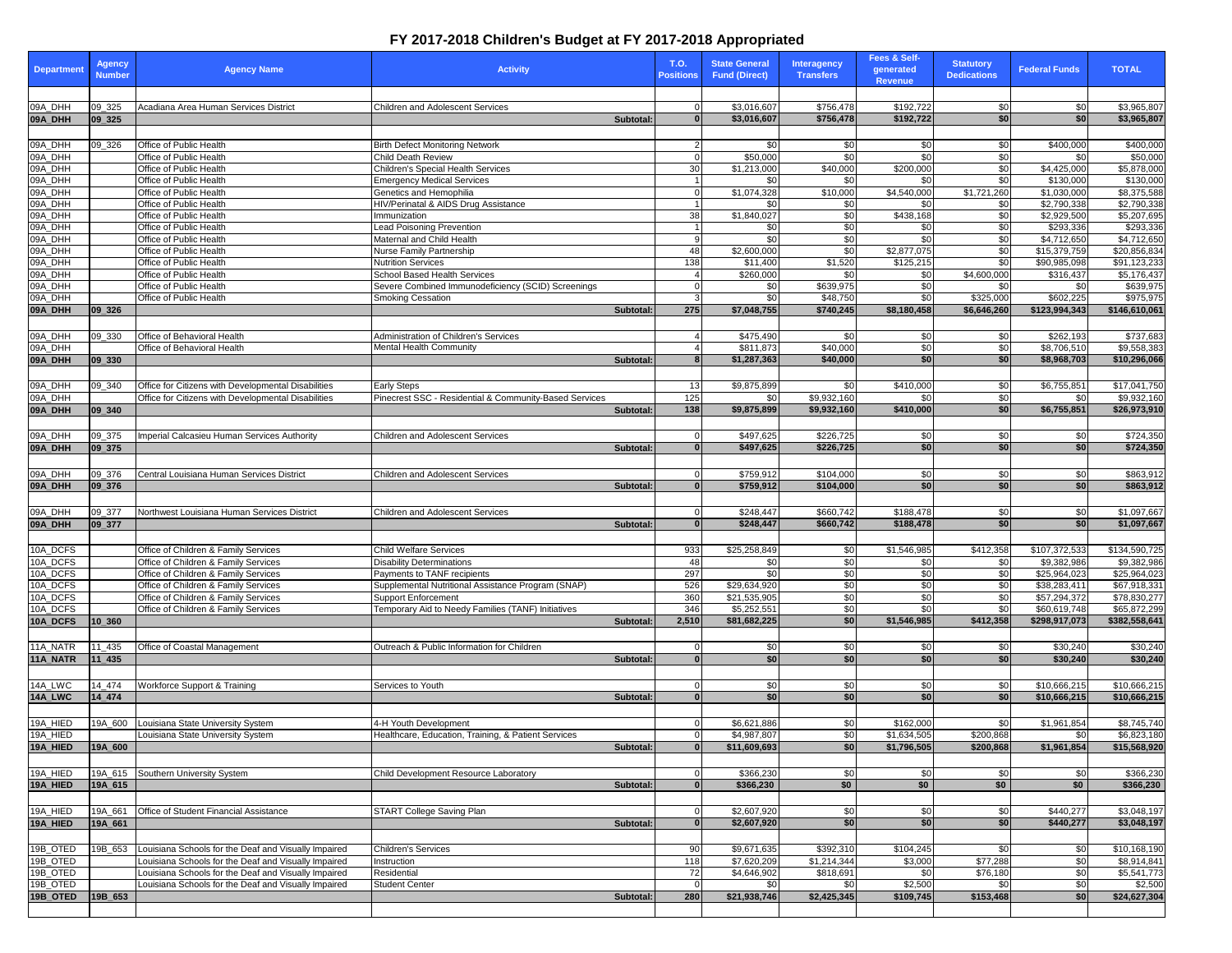## **FY 2017-2018 Children's Budget at FY 2017-2018 Appropriated**

| <b>Department</b>    | <b>Agency</b><br><b>Number</b> | <b>Agency Name</b>                                                           | <b>Activity</b>                                                                  | <b>T.O.</b><br><b>Positions</b> | <b>State General</b><br><b>Fund (Direct)</b> | <b>Interagency</b><br><b>Transfers</b> | <b>Fees &amp; Self-</b><br>generated<br><b>Revenue</b> | <b>Statutory</b><br><b>Dedications</b> | <b>Federal Funds</b>         | <b>TOTAL</b>                 |
|----------------------|--------------------------------|------------------------------------------------------------------------------|----------------------------------------------------------------------------------|---------------------------------|----------------------------------------------|----------------------------------------|--------------------------------------------------------|----------------------------------------|------------------------------|------------------------------|
|                      |                                |                                                                              |                                                                                  |                                 |                                              |                                        |                                                        |                                        |                              |                              |
| 09A_DHH              | 09_325                         | Acadiana Area Human Services District                                        | Children and Adolescent Services                                                 |                                 | \$3,016,607                                  | \$756,478                              | \$192,722                                              | \$0                                    | \$0                          | \$3,965,807                  |
| 09A_DHH              | $ 09 \ 325$                    |                                                                              | Subtotal:                                                                        |                                 | \$3,016,607                                  | \$756,478                              | \$192,722                                              | \$0                                    | \$0 <sub>1</sub>             | \$3,965,807                  |
| 09A_DHH              |                                |                                                                              |                                                                                  |                                 | \$0                                          |                                        |                                                        |                                        |                              |                              |
| 09A_DHH              | 09_326                         | Office of Public Health<br>Office of Public Health                           | <b>Birth Defect Monitoring Network</b><br><b>Child Death Review</b>              |                                 | \$50,000                                     | \$0<br>\$0                             | \$0<br>$\overline{30}$                                 | \$0<br>\$0                             | \$400,000<br>\$0             | \$400,000<br>\$50,000        |
| 09A_DHH              |                                | Office of Public Health                                                      | <b>Children's Special Health Services</b>                                        | 30                              | \$1,213,000                                  | \$40,000                               | \$200,000                                              | $\sqrt{6}$                             | \$4,425,000                  | \$5,878,000                  |
| 09A_DHH              |                                | Office of Public Health                                                      | <b>Emergency Medical Services</b>                                                |                                 | \$0                                          | \$0                                    | \$0                                                    | $\overline{30}$                        | \$130,000                    | \$130,000                    |
| 09A_DHH              |                                | Office of Public Health                                                      | Genetics and Hemophilia                                                          |                                 | \$1,074,328                                  | \$10,000                               | \$4,540,000                                            | \$1,721,260                            | \$1,030,000                  | \$8,375,588                  |
| 09A_DHH              |                                | Office of Public Health                                                      | HIV/Perinatal & AIDS Drug Assistance                                             |                                 | \$0                                          | \$0                                    | \$0                                                    | \$0                                    | \$2,790,338                  | \$2,790,338                  |
| 09A_DHH<br>09A_DHH   |                                | Office of Public Health<br>Office of Public Health                           | Immunization<br><b>Lead Poisoning Prevention</b>                                 | 38                              | \$1,840,027<br>\$0                           | \$0<br>\$0                             | \$438,168<br>\$0                                       | \$0<br>\$0                             | \$2,929,500<br>\$293,336     | \$5,207,695<br>\$293,336     |
| 09A_DHH              |                                | Office of Public Health                                                      | Maternal and Child Health                                                        |                                 | \$0                                          | \$0                                    | \$0                                                    | $\overline{30}$                        | \$4,712,650                  | \$4,712,650                  |
| 09A_DHH              |                                | Office of Public Health                                                      | Nurse Family Partnership                                                         | 48                              | \$2,600,000                                  | \$0                                    | \$2,877,075                                            | $\sqrt{50}$                            | \$15,379,759                 | \$20,856,834                 |
| 09A_DHH              |                                | Office of Public Health                                                      | <b>Nutrition Services</b>                                                        | 138                             | \$11,400                                     | \$1,520                                | \$125,215                                              | \$0                                    | \$90,985,098                 | \$91,123,233                 |
| 09A_DHH              |                                | Office of Public Health                                                      | <b>School Based Health Services</b>                                              |                                 | \$260,000                                    | \$0                                    | \$0                                                    | \$4,600,000                            | \$316,437                    | \$5,176,437                  |
| 09A_DHH              |                                | Office of Public Health                                                      | Severe Combined Immunodeficiency (SCID) Screenings                               |                                 | 30                                           | \$639,975                              | \$0                                                    | \$0                                    | \$0                          | \$639,975                    |
| 09A_DHH<br>09A_DHH   | $ 09 \ 326$                    | Office of Public Health                                                      | <b>Smoking Cessation</b>                                                         | 275                             | \$0<br>\$7,048,755                           | \$48,750<br>\$740,245                  | \$0<br>\$8,180,458                                     | \$325,000<br>\$6,646,260               | \$602,225<br>\$123,994,343   | \$975,975<br>\$146,610,061   |
|                      |                                |                                                                              | Subtotal:                                                                        |                                 |                                              |                                        |                                                        |                                        |                              |                              |
| 09A_DHH              | 09 330                         | Office of Behavioral Health                                                  | Administration of Children's Services                                            |                                 | \$475,490                                    | \$0                                    | \$0                                                    | \$0                                    | \$262,193                    | \$737,683                    |
| 09A_DHH              |                                | Office of Behavioral Health                                                  | <b>Mental Health Community</b>                                                   |                                 | \$811,873                                    | \$40,000                               | $\frac{6}{3}$                                          | $\sqrt{6}$                             | \$8,706,510                  | \$9,558,383                  |
| 09A_DHH              | 09 330                         |                                                                              | <b>Subtotal:</b>                                                                 |                                 | \$1,287,363                                  | \$40,000                               | \$0                                                    | \$0                                    | \$8,968,703                  | \$10,296,066                 |
|                      |                                |                                                                              |                                                                                  |                                 |                                              |                                        |                                                        |                                        |                              |                              |
| 09A_DHH              | 09 340                         | Office for Citizens with Developmental Disabilities                          | <b>Early Steps</b>                                                               | -13                             | \$9,875,899                                  | \$0                                    | \$410,000                                              | \$0                                    | \$6,755,851                  | \$17,041,750                 |
| 09A_DHH              |                                | Office for Citizens with Developmental Disabilities                          | Pinecrest SSC - Residential & Community-Based Services                           | $\overline{125}$                | \$0                                          | \$9,932,160                            | \$0                                                    | \$0                                    | \$0                          | \$9,932,160                  |
| 09A_DHH              | 09 340                         |                                                                              | Subtotal:                                                                        | 138                             | \$9,875,899                                  | \$9,932,160                            | \$410,000                                              | \$0                                    | \$6,755,851                  | \$26,973,910                 |
|                      |                                |                                                                              |                                                                                  |                                 |                                              |                                        |                                                        |                                        |                              |                              |
| 09A_DHH              | 09_375                         | Imperial Calcasieu Human Services Authority                                  | <b>Children and Adolescent Services</b>                                          |                                 | \$497,625                                    | \$226,725                              | \$0                                                    | \$0                                    | \$0                          | \$724,350                    |
| 09A_DHH              | 09 375                         |                                                                              | Subtotal:                                                                        |                                 | \$497,625                                    | \$226,725                              | sol                                                    | \$0                                    | \$0 <sub>1</sub>             | \$724,350                    |
| 09A_DHH              | 09_376                         | Central Louisiana Human Services District                                    | <b>Children and Adolescent Services</b>                                          |                                 | $\overline{$}759,912$                        | \$104,000                              | \$0                                                    | \$0                                    | \$0                          | \$863,912                    |
| 09A_DHH              | 09 376                         |                                                                              | <b>Subtotal:</b>                                                                 |                                 | \$759,912                                    | \$104,000                              | \$0                                                    | \$0                                    | \$0                          | \$863,912                    |
|                      |                                |                                                                              |                                                                                  |                                 |                                              |                                        |                                                        |                                        |                              |                              |
| 09A_DHH              | 09 377                         | Northwest Louisiana Human Services District                                  | <b>Children and Adolescent Services</b>                                          |                                 | \$248,447                                    | \$660,742                              | \$188,478                                              | \$0                                    | \$0                          | \$1,097,667                  |
| 09A_DHH              | 09 377                         |                                                                              | <b>Subtotal:</b>                                                                 |                                 | \$248,447                                    | \$660,742                              | \$188,478                                              | \$0                                    | \$0                          | \$1,097,667                  |
|                      |                                |                                                                              |                                                                                  |                                 |                                              |                                        |                                                        |                                        |                              |                              |
| 10A_DCFS             |                                | Office of Children & Family Services                                         | <b>Child Welfare Services</b>                                                    | 933                             | \$25,258,849                                 | \$0                                    | \$1,546,985                                            | \$412,358                              | \$107,372,533                | \$134,590,725                |
| 10A_DCFS             |                                | Office of Children & Family Services                                         | <b>Disability Determinations</b>                                                 | -48                             | \$0                                          | \$0                                    | \$0                                                    | \$0                                    | \$9,382,986                  | \$9,382,986                  |
| 10A_DCFS             |                                | Office of Children & Family Services                                         | Payments to TANF recipients                                                      | 297                             | \$0 <sub>1</sub>                             | \$0                                    | $\overline{30}$                                        | \$0                                    | \$25,964,023                 | \$25,964,023                 |
| 10A_DCFS<br>10A_DCFS |                                | Office of Children & Family Services<br>Office of Children & Family Services | Supplemental Nutritional Assistance Program (SNAP)<br><b>Support Enforcement</b> | 526<br>360                      | \$29,634,920<br>\$21,535,905                 | \$0<br>\$0                             | $\frac{6}{3}$<br>$\frac{1}{6}$                         | $\sqrt{50}$<br>$\overline{30}$         | \$38,283,411<br>\$57,294,372 | \$67,918,331<br>\$78,830,277 |
| 10A_DCFS             |                                | Office of Children & Family Services                                         | Temporary Aid to Needy Families (TANF) Initiatives                               | 346                             | \$5,252,551                                  | \$0                                    | $\sqrt{6}$                                             | $\overline{30}$                        | \$60,619,748                 | \$65,872,299                 |
| 10A_DCFS             | 10 360                         |                                                                              | Subtotal:                                                                        | 2,510                           | \$81,682,225                                 | \$0                                    | \$1,546,985                                            | \$412,358                              | \$298,917,073                | \$382,558,641                |
|                      |                                |                                                                              |                                                                                  |                                 |                                              |                                        |                                                        |                                        |                              |                              |
| 11A_NATR             | 11_435                         | Office of Coastal Management                                                 | Outreach & Public Information for Children                                       |                                 | \$0                                          | \$0                                    | \$0                                                    | \$0                                    | \$30,240                     | \$30,240                     |
| 11A_NATR             | $11 - 435$                     |                                                                              | <b>Subtotal:</b>                                                                 |                                 | \$0                                          | \$0                                    | \$0                                                    | \$0                                    | \$30,240                     | \$30,240                     |
|                      |                                |                                                                              |                                                                                  |                                 |                                              |                                        |                                                        |                                        |                              |                              |
| $14A_LWC$            | 14_474                         | <b>Workforce Support &amp; Training</b>                                      | Services to Youth                                                                |                                 | \$0                                          | \$0                                    | 30                                                     | \$0                                    | \$10,666,215                 | \$10,666,215                 |
| 14A_LWC              | 14 474                         |                                                                              | Subtotal:                                                                        |                                 | \$0                                          | \$0                                    | \$0                                                    | s <sub>0</sub>                         | \$10,666,215                 | \$10,666,215                 |
|                      |                                |                                                                              |                                                                                  |                                 |                                              |                                        |                                                        |                                        |                              |                              |
| 19A_HIED<br>19A_HIED | 19A_600                        | Louisiana State University System<br>Louisiana State University System       | 4-H Youth Development<br>Healthcare, Education, Training, & Patient Services     |                                 | \$6,621,886<br>\$4,987,807                   | \$0<br>\$0                             | \$162,000                                              | \$0<br>\$200,868                       | \$1,961,854                  | \$8,745,740<br>\$6,823,180   |
| 19A_HIED             | 19A_600                        |                                                                              | Subtotal:                                                                        |                                 | \$11,609,693                                 | \$0 <sub>l</sub>                       | \$1,634,505<br>\$1,796,505                             | \$200,868                              | \$0<br>\$1,961,854           | \$15,568,920                 |
|                      |                                |                                                                              |                                                                                  |                                 |                                              |                                        |                                                        |                                        |                              |                              |
| 19A_HIED             |                                | 19A_615 Southern University System                                           | Child Development Resource Laboratory                                            |                                 | \$366,230                                    | \$0                                    | \$0                                                    | \$0                                    | \$0                          | \$366,230                    |
| 19A_HIED             | 19A_615                        |                                                                              | <b>Subtotal:</b>                                                                 |                                 | \$366,230                                    | \$0                                    | \$0                                                    | \$0                                    | \$0                          | \$366,230                    |
|                      |                                |                                                                              |                                                                                  |                                 |                                              |                                        |                                                        |                                        |                              |                              |
| 19A_HIED             | 19A_661                        | Office of Student Financial Assistance                                       | <b>START College Saving Plan</b>                                                 |                                 | \$2,607,920                                  | \$0                                    | \$0                                                    | \$0                                    | \$440,277                    | \$3,048,197                  |
| 19A_HIED             | 19A_661                        |                                                                              | Subtotal:                                                                        |                                 | \$2,607,920                                  | \$0                                    | \$0                                                    | \$0                                    | \$440,277                    | \$3,048,197                  |
|                      |                                |                                                                              |                                                                                  |                                 |                                              |                                        |                                                        |                                        |                              |                              |
| 19B_OTED             | 19B_653                        | Louisiana Schools for the Deaf and Visually Impaired                         | Children's Services                                                              | 90 <sup>°</sup>                 | \$9,671,635                                  | \$392,310                              | \$104,245                                              | \$0                                    | \$0                          | \$10,168,190                 |
| 19B_OTED             |                                | Louisiana Schools for the Deaf and Visually Impaired                         | Instruction                                                                      | 118                             | \$7,620,209                                  | \$1,214,344                            | \$3,000                                                | \$77,288                               | \$0                          | \$8,914,841                  |
| 19B_OTED<br>19B_OTED |                                | Louisiana Schools for the Deaf and Visually Impaired                         | Residential                                                                      | 72                              | $\sqrt{4,646,902}$                           | \$818,691                              | \$0                                                    | \$76,180                               | \$0                          | \$5,541,773                  |
| 19B_OTED             | $19B_653$                      | Louisiana Schools for the Deaf and Visually Impaired                         | <b>Student Center</b><br>Subtotal:                                               | 280                             | \$0 <sub>1</sub><br>\$21,938,746             | \$0<br>\$2,425,345                     | \$2,500<br>\$109,745                                   | \$0<br>\$153,468                       | \$0<br>\$0                   | \$2,500<br>\$24,627,304      |
|                      |                                |                                                                              |                                                                                  |                                 |                                              |                                        |                                                        |                                        |                              |                              |
|                      |                                |                                                                              |                                                                                  |                                 |                                              |                                        |                                                        |                                        |                              |                              |